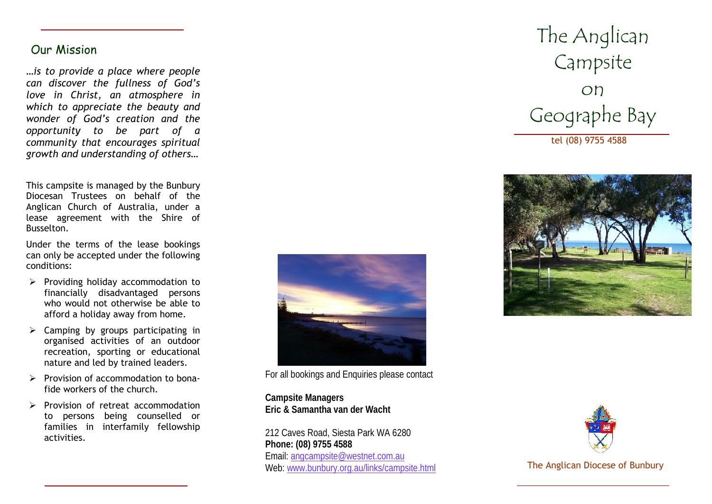# Our Mission

*…is to provide a place where people can discover the fullness of God's love in Christ, an atmosphere in which to appreciate the beauty and wonder of God's creation and the opportunity to be part of a community that encourages spiritual growth and understanding of others…*

This campsite is managed by the Bunbury Diocesan Trustees on behalf of the Anglican Church of Australia, under a lease agreement with the Shire of Busselton.

Under the terms of the lease bookings can only be accepted under the following conditions:

- $\triangleright$  Providing holiday accommodation to financially disadvantaged persons who would not otherwise be able to afford a holiday away from home.
- $\triangleright$  Camping by groups participating in organised activities of an outdoor recreation, sporting or educational nature and led by trained leaders.
- $\triangleright$  Provision of accommodation to bonafide workers of the church.
- $\triangleright$  Provision of retreat accommodation to persons being counselled or families in interfamily fellowship activities.



For all bookings and Enquiries please contact

**Campsite Managers Eric & Samantha van der Wacht**

212 Caves Road, Siesta Park WA 6280 **Phone: (08) 9755 4588** Email: angcampsite@westnet.com.au Web: www.bunbury.org.au/links/campsite.html The Anglican Diocese of Bunbury